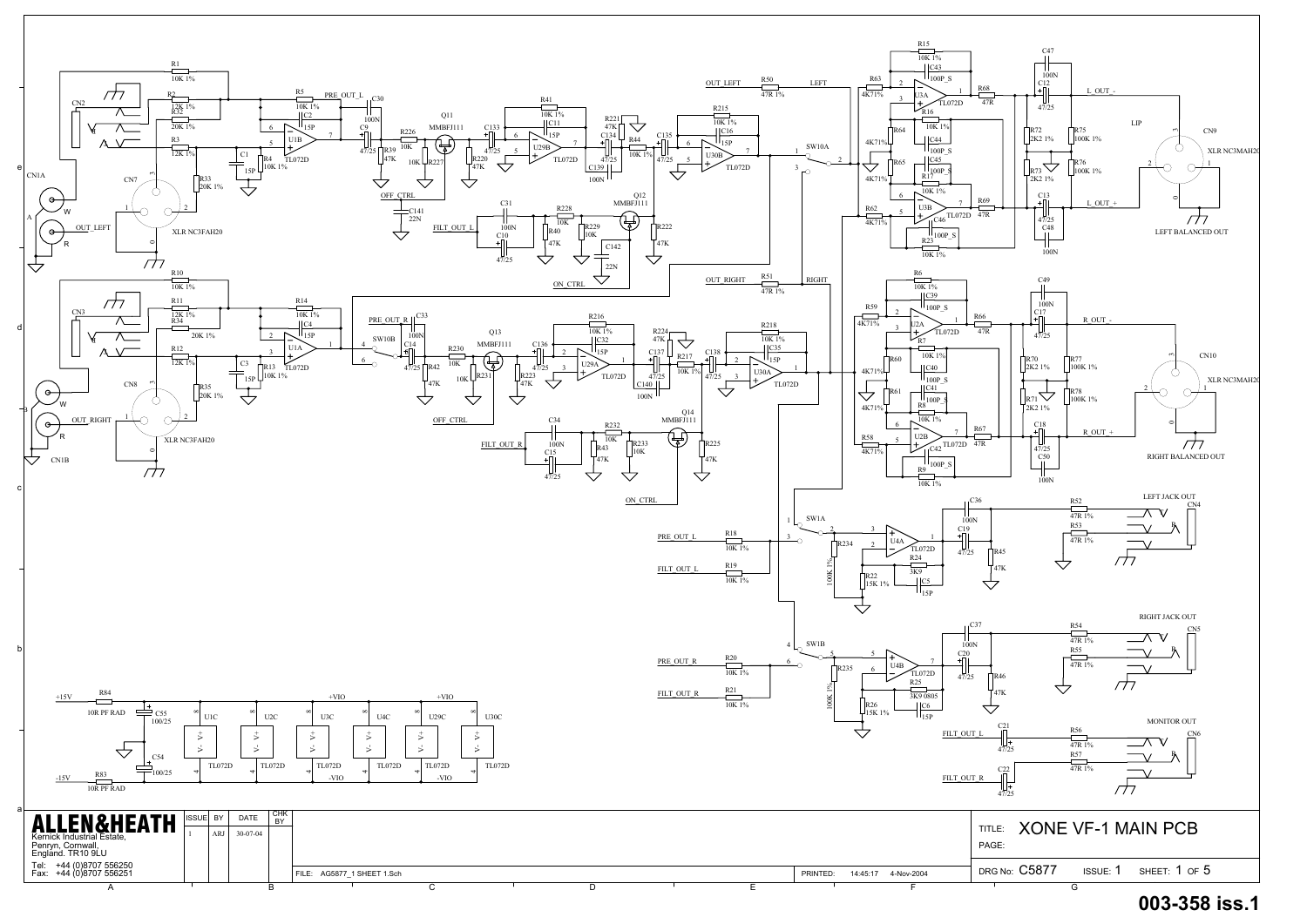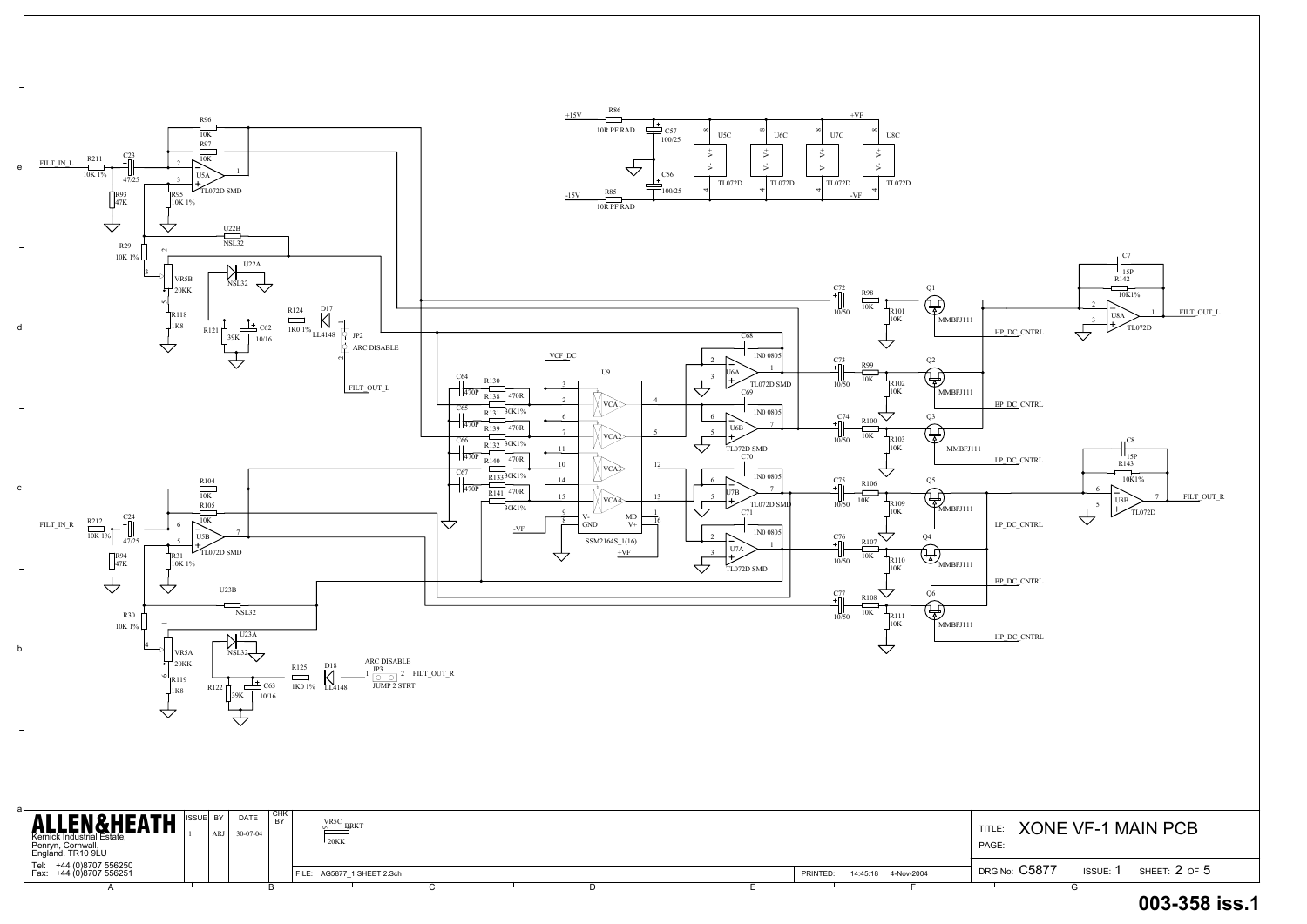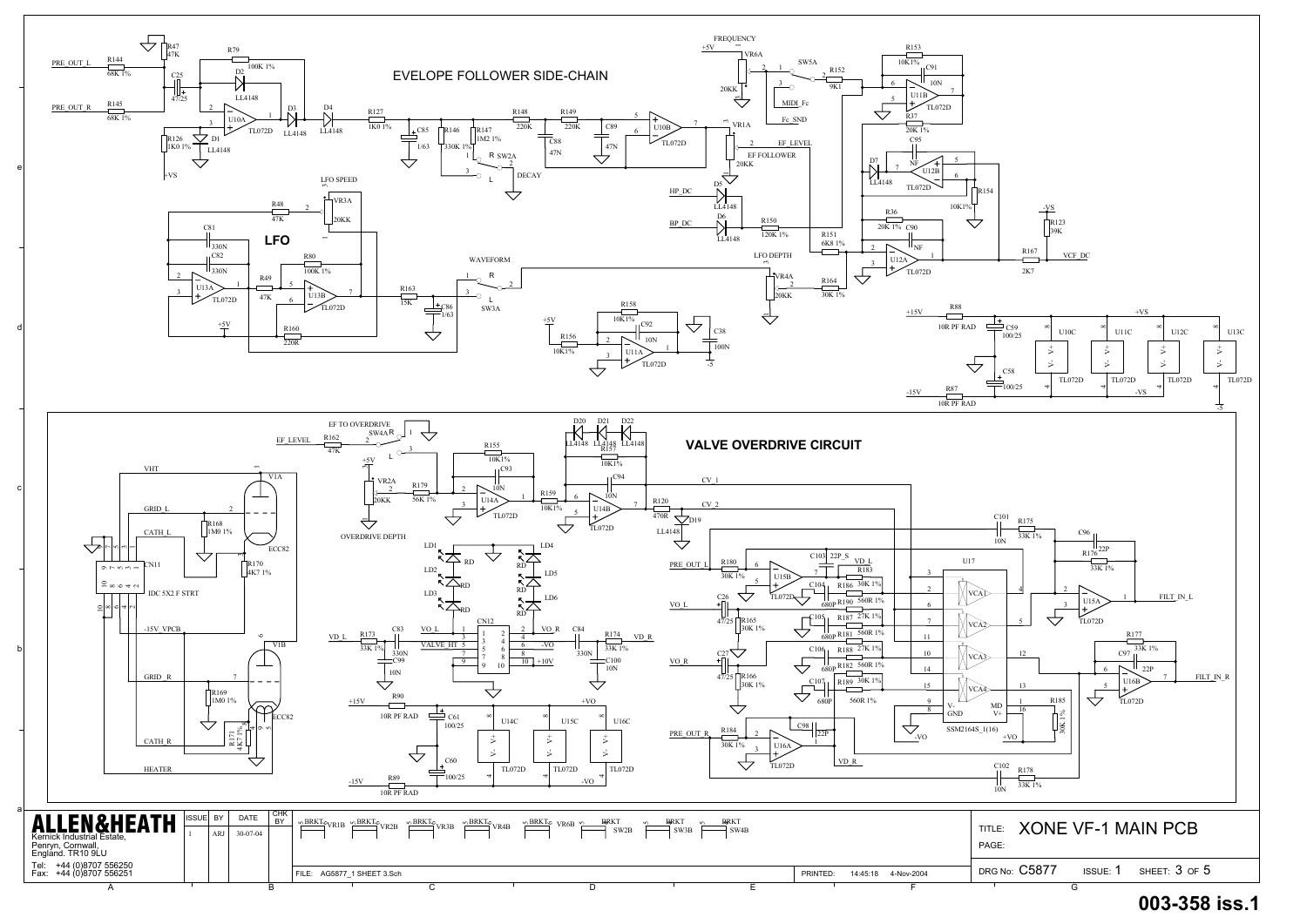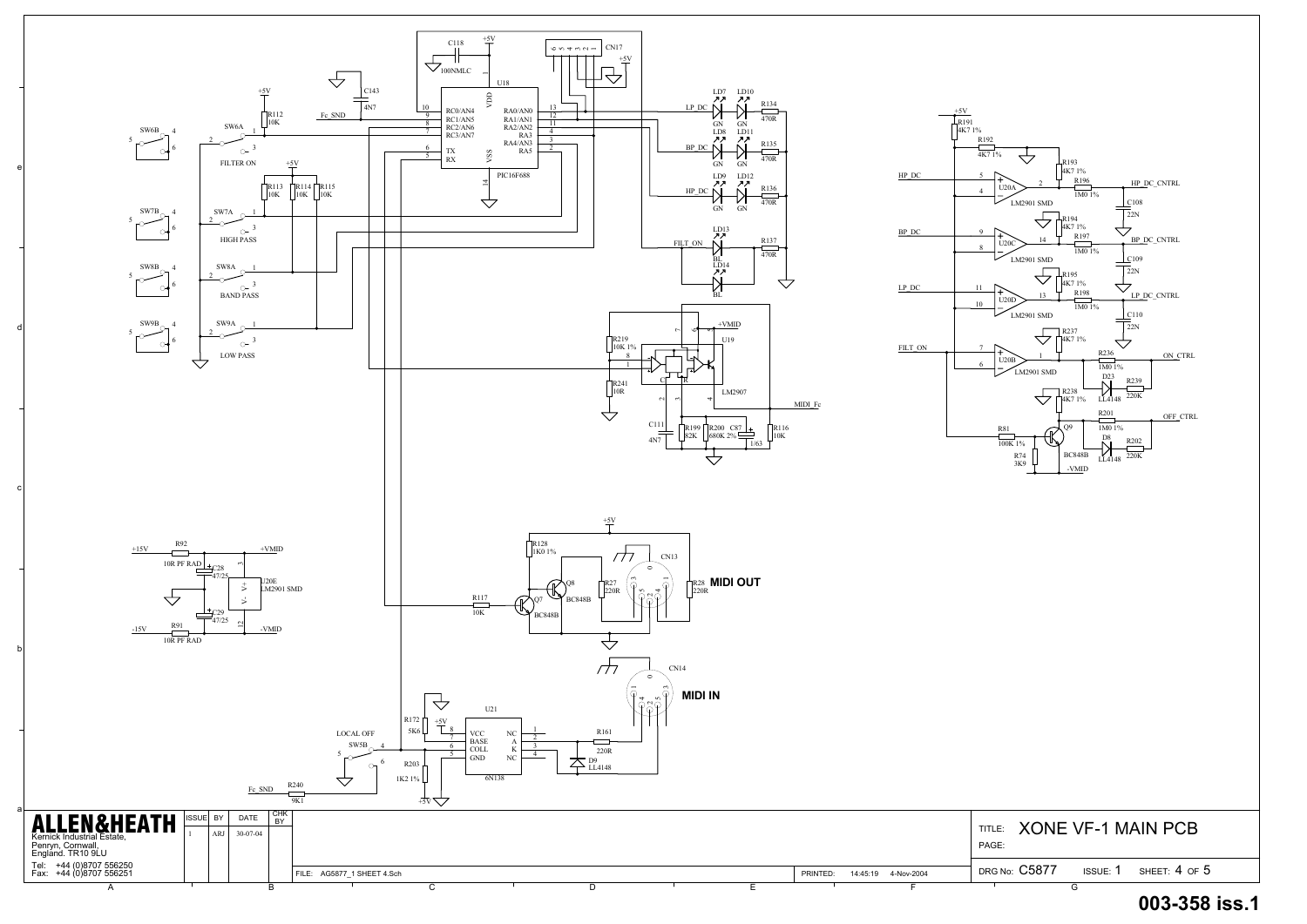

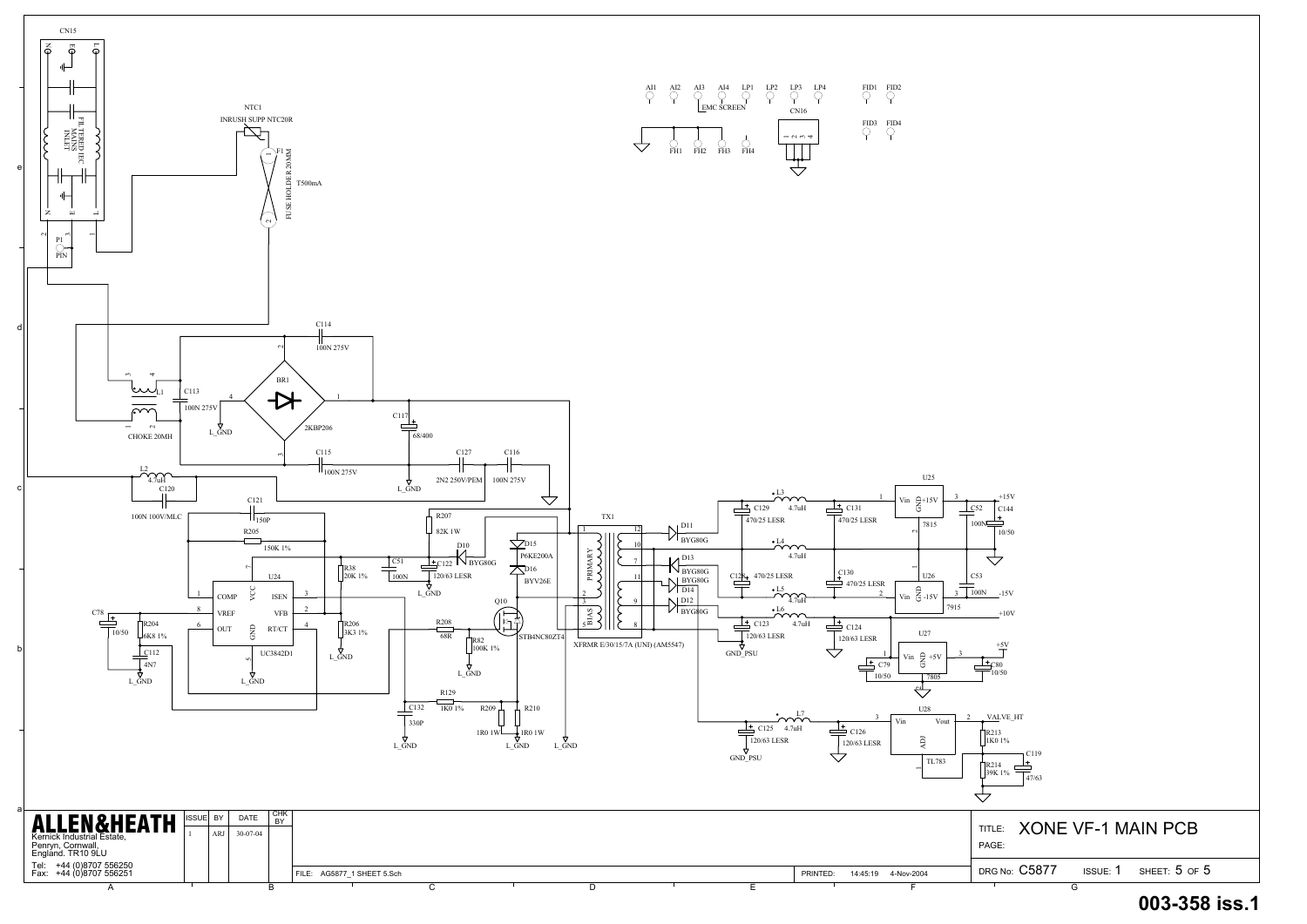

| $\prod_{1}^{R213}$<br>1K0 1%<br>$\prod_{39K}^{R214}$<br>39K 1% | C119<br>47/63        |   |                              |  |
|----------------------------------------------------------------|----------------------|---|------------------------------|--|
| PAGE:                                                          |                      |   | TITLE: XONE VF-1 MAIN PCB    |  |
|                                                                | DRG No: $\rm{C5877}$ |   | ISSUE: $1$ SHEET: $5$ OF $5$ |  |
|                                                                |                      | G |                              |  |



 $+5V$ 



C80 10/50